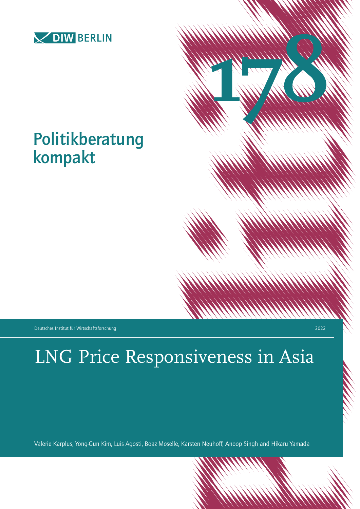

# Politikberatung kompakt

Deutsches Institut für Wirtschaftsforschung 2022

**178**

# LNG Price Responsiveness in Asia

Valerie Karplus, Yong-Gun Kim, Luis Agosti, Boaz Moselle, Karsten Neuhoff, Anoop Singh and Hikaru Yamada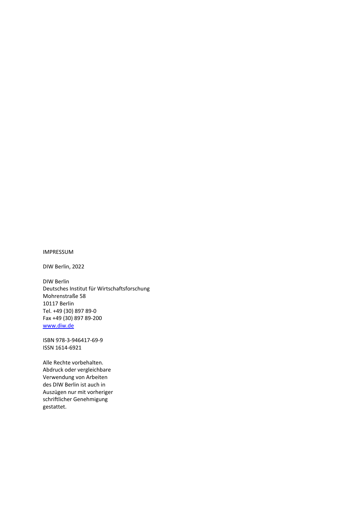#### IMPRESSUM

DIW Berlin, 2022

DIW Berlin Deutsches Institut für Wirtschaftsforschung Mohrenstraße 58 10117 Berlin Tel. +49 (30) 897 89-0 Fax +49 (30) 897 89-200 [www.diw.de](http://www.diw.de/)

ISBN 978-3-946417-69-9 ISSN 1614-6921

Alle Rechte vorbehalten. Abdruck oder vergleichbare Verwendung von Arbeiten des DIW Berlin ist auch in Auszügen nur mit vorheriger schriftlicher Genehmigung gestattet.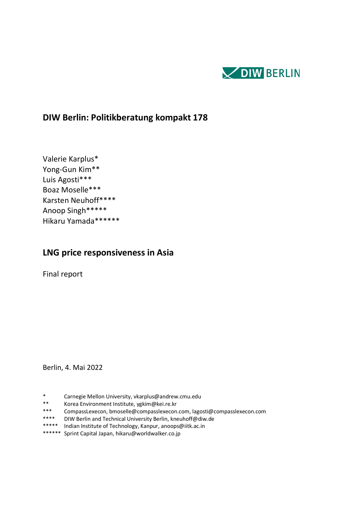

# **DIW Berlin: Politikberatung kompakt 178**

Valerie Karplus\* Yong-Gun Kim\*\* Luis Agosti\*\*\* Boaz Moselle\*\*\* Karsten Neuhoff\*\*\*\* Anoop Singh\*\*\*\*\* Hikaru Yamada\*\*\*\*\*\*

# **LNG price responsiveness in Asia**

Final report

Berlin, 4. Mai 2022

- \* Carnegie Mellon University, vkarplus@andrew.cmu.edu
- \*\* Korea Environment Institute, ygkim@kei.re.kr
- \*\*\* CompassLexecon, bmoselle@compasslexecon.com, lagosti@compasslexecon.com<br>\*\*\*\* DIW Berlin and Technical University Berlin, kneuhoff@diw de
- DIW Berlin and Technical University Berlin, kneuhoff@diw.de
- \*\*\*\*\* Indian Institute of Technology, Kanpur, anoops@iitk.ac.in
- \*\*\*\*\*\* Sprint Capital Japan, hikaru@worldwalker.co.jp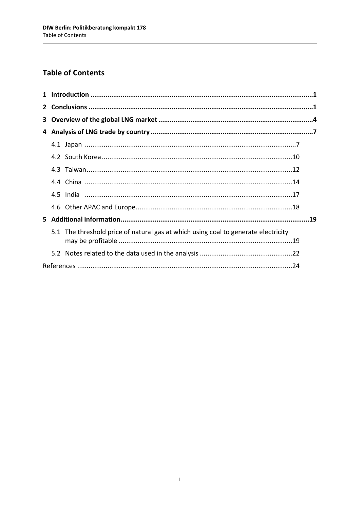# **Table of Contents**

| 3 |                                                                                    |  |
|---|------------------------------------------------------------------------------------|--|
|   |                                                                                    |  |
|   |                                                                                    |  |
|   |                                                                                    |  |
|   |                                                                                    |  |
|   |                                                                                    |  |
|   |                                                                                    |  |
|   |                                                                                    |  |
|   |                                                                                    |  |
|   | 5.1 The threshold price of natural gas at which using coal to generate electricity |  |
|   |                                                                                    |  |
|   |                                                                                    |  |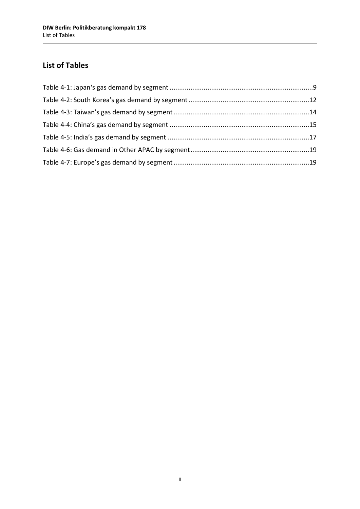# **List of Tables**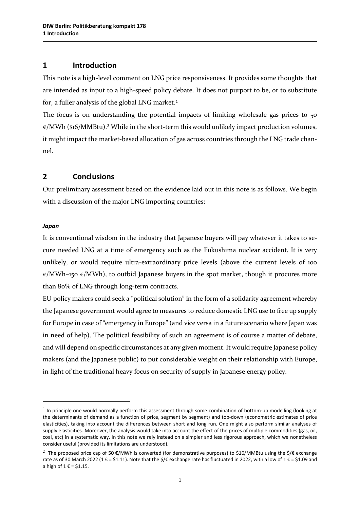#### **1 Introduction**

This note is a high-level comment on LNG price responsiveness. It provides some thoughts that are intended as input to a high-speed policy debate. It does not purport to be, or to substitute for, a fuller analysis of the global LNG market.<sup>[1](#page-5-0)</sup>

The focus is on understanding the potential impacts of limiting wholesale gas prices to 50  $\varepsilon$ /MWh (\$16/MMBtu).<sup>[2](#page-5-1)</sup> While in the short-term this would unlikely impact production volumes, it might impact the market-based allocation of gas across countries through the LNG trade channel.

#### **2 Conclusions**

Our preliminary assessment based on the evidence laid out in this note is as follows. We begin with a discussion of the major LNG importing countries:

#### *Japan*

 $\overline{a}$ 

It is conventional wisdom in the industry that Japanese buyers will pay whatever it takes to secure needed LNG at a time of emergency such as the Fukushima nuclear accident. It is very unlikely, or would require ultra-extraordinary price levels (above the current levels of 100  $\varepsilon$ /MWh–150  $\varepsilon$ /MWh), to outbid Japanese buyers in the spot market, though it procures more than 80% of LNG through long-term contracts.

EU policy makers could seek a "political solution" in the form of a solidarity agreement whereby the Japanese government would agree to measures to reduce domestic LNG use to free up supply for Europe in case of "emergency in Europe" (and vice versa in a future scenario where Japan was in need of help). The political feasibility of such an agreement is of course a matter of debate, and will depend on specific circumstances at any given moment. It would require Japanese policy makers (and the Japanese public) to put considerable weight on their relationship with Europe, in light of the traditional heavy focus on security of supply in Japanese energy policy.

<span id="page-5-0"></span> $1$  In principle one would normally perform this assessment through some combination of bottom-up modelling (looking at the determinants of demand as a function of price, segment by segment) and top-down (econometric estimates of price elasticities), taking into account the differences between short and long run. One might also perform similar analyses of supply elasticities. Moreover, the analysis would take into account the effect of the prices of multiple commodities (gas, oil, coal, etc) in a systematic way. In this note we rely instead on a simpler and less rigorous approach, which we nonetheless consider useful (provided its limitations are understood).

<span id="page-5-1"></span><sup>&</sup>lt;sup>2</sup> The proposed price cap of 50 €/MWh is converted (for demonstrative purposes) to \$16/MMBtu using the \$/€ exchange rate as of 30 March 2022 (1 € = \$1.11). Note that the \$/€ exchange rate has fluctuated in 2022, with a low of 1 € = \$1.09 and a high of  $1 \in$  = \$1.15.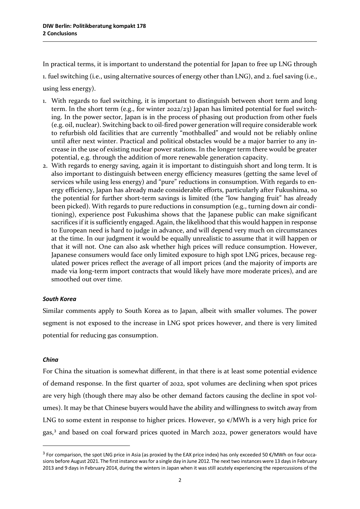In practical terms, it is important to understand the potential for Japan to free up LNG through

1. fuel switching (i.e., using alternative sources of energy other than LNG), and 2. fuel saving (i.e.,

using less energy).

- 1. With regards to fuel switching, it is important to distinguish between short term and long term. In the short term (e.g., for winter 2022/23) Japan has limited potential for fuel switching. In the power sector, Japan is in the process of phasing out production from other fuels (e.g. oil, nuclear). Switching back to oil-fired power generation will require considerable work to refurbish old facilities that are currently "mothballed" and would not be reliably online until after next winter. Practical and political obstacles would be a major barrier to any increase in the use of existing nuclear power stations. In the longer term there would be greater potential, e.g. through the addition of more renewable generation capacity.
- 2. With regards to energy saving, again it is important to distinguish short and long term. It is also important to distinguish between energy efficiency measures (getting the same level of services while using less energy) and "pure" reductions in consumption. With regards to energy efficiency, Japan has already made considerable efforts, particularly after Fukushima, so the potential for further short-term savings is limited (the "low hanging fruit" has already been picked). With regards to pure reductions in consumption (e.g., turning down air conditioning), experience post Fukushima shows that the Japanese public can make significant sacrifices if it is sufficiently engaged. Again, the likelihood that this would happen in response to European need is hard to judge in advance, and will depend very much on circumstances at the time. In our judgment it would be equally unrealistic to assume that it will happen or that it will not. One can also ask whether high prices will reduce consumption. However, Japanese consumers would face only limited exposure to high spot LNG prices, because regulated power prices reflect the average of all import prices (and the majority of imports are made via long-term import contracts that would likely have more moderate prices), and are smoothed out over time.

#### *South Korea*

Similar comments apply to South Korea as to Japan, albeit with smaller volumes. The power segment is not exposed to the increase in LNG spot prices however, and there is very limited potential for reducing gas consumption.

#### *China*

l

For China the situation is somewhat different, in that there is at least some potential evidence of demand response. In the first quarter of 2022, spot volumes are declining when spot prices are very high (though there may also be other demand factors causing the decline in spot volumes). It may be that Chinese buyers would have the ability and willingness to switch away from LNG to some extent in response to higher prices. However, 50  $\varepsilon$ /MWh is a very high price for gas,<sup>[3](#page-6-0)</sup> and based on coal forward prices quoted in March 2022, power generators would have

<span id="page-6-0"></span><sup>&</sup>lt;sup>3</sup> For comparison, the spot LNG price in Asia (as proxied by the EAX price index) has only exceeded 50 €/MWh on four occasions before August 2021. The first instance was for a single day in June 2012. The next two instances were 13 days in February 2013 and 9 days in February 2014, during the winters in Japan when it was still acutely experiencing the repercussions of the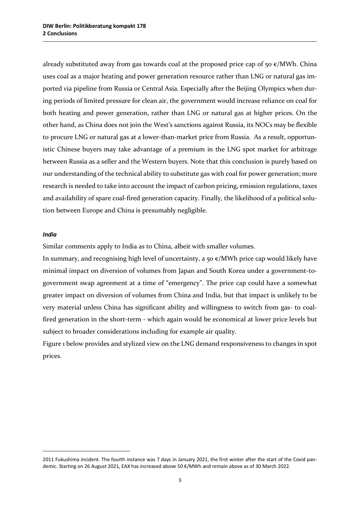already substituted away from gas towards coal at the proposed price cap of  $50 \in /MWh$ . China uses coal as a major heating and power generation resource rather than LNG or natural gas imported via pipeline from Russia or Central Asia. Especially after the Beijing Olympics when during periods of limited pressure for clean air, the government would increase reliance on coal for both heating and power generation, rather than LNG or natural gas at higher prices. On the other hand, as China does not join the West's sanctions against Russia, its NOCs may be flexible to procure LNG or natural gas at a lower-than-market price from Russia. As a result, opportunistic Chinese buyers may take advantage of a premium in the LNG spot market for arbitrage between Russia as a seller and the Western buyers. Note that this conclusion is purely based on our understanding of the technical ability to substitute gas with coal for power generation; more research is needed to take into account the impact of carbon pricing, emission regulations, taxes and availability of spare coal-fired generation capacity. Finally, the likelihood of a political solution between Europe and China is presumably negligible.

#### *India*

 $\overline{a}$ 

Similar comments apply to India as to China, albeit with smaller volumes.

In summary, and recognising high level of uncertainty, a 50  $\epsilon$ /MWh price cap would likely have minimal impact on diversion of volumes from Japan and South Korea under a government-togovernment swap agreement at a time of "emergency". The price cap could have a somewhat greater impact on diversion of volumes from China and India, but that impact is unlikely to be very material unless China has significant ability and willingness to switch from gas- to coalfired generation in the short-term - which again would be economical at lower price levels but subject to broader considerations including for example air quality.

Figure 1 below provides and stylized view on the LNG demand responsiveness to changes in spot prices.

<sup>2011</sup> Fukushima incident. The fourth instance was 7 days in January 2021, the first winter after the start of the Covid pandemic. Starting on 26 August 2021, EAX has increased above 50 €/MWh and remain above as of 30 March 2022.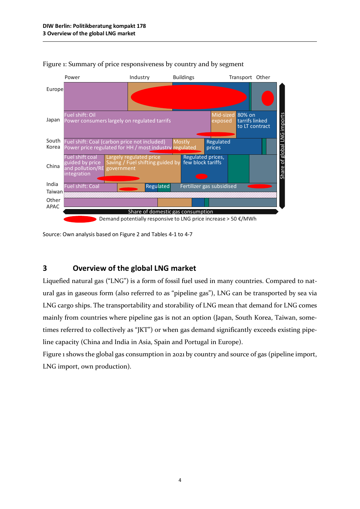

Figure 1: Summary of price responsiveness by country and by segment

Source: Own analysis based on Figure 2 and Tables 4-1 to 4-7

## **3 Overview of the global LNG market**

Liquefied natural gas ("LNG") is a form of fossil fuel used in many countries. Compared to natural gas in gaseous form (also referred to as "pipeline gas"), LNG can be transported by sea via LNG cargo ships. The transportability and storability of LNG mean that demand for LNG comes mainly from countries where pipeline gas is not an option (Japan, South Korea, Taiwan, sometimes referred to collectively as "JKT") or when gas demand significantly exceeds existing pipeline capacity (China and India in Asia, Spain and Portugal in Europe).

Figure 1 shows the global gas consumption in 2021 by country and source of gas (pipeline import, LNG import, own production).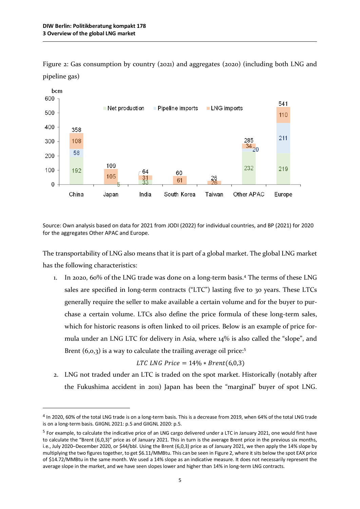$\overline{a}$ 



Figure 2: Gas consumption by country (2021) and aggregates (2020) (including both LNG and pipeline gas)

Source: Own analysis based on data for 2021 from JODI (2022) for individual countries, and BP (2021) for 2020 for the aggregates Other APAC and Europe.

The transportability of LNG also means that it is part of a global market. The global LNG market has the following characteristics:

1. In 2020, 60% of the LNG trade was done on a long-term basis.[4](#page-9-0) The terms of these LNG sales are specified in long-term contracts ("LTC") lasting five to 30 years. These LTCs generally require the seller to make available a certain volume and for the buyer to purchase a certain volume. LTCs also define the price formula of these long-term sales, which for historic reasons is often linked to oil prices. Below is an example of price formula under an LNG LTC for delivery in Asia, where 14% is also called the "slope", and Brent  $(6, 0, 3)$  is a way to calculate the trailing average oil price:<sup>[5](#page-9-1)</sup>

LTC LNG Price = 
$$
14\% * Brent(6,0,3)
$$

2. LNG not traded under an LTC is traded on the spot market. Historically (notably after the Fukushima accident in 2011) Japan has been the "marginal" buyer of spot LNG.

<span id="page-9-0"></span><sup>4</sup> In 2020, 60% of the total LNG trade is on a long-term basis. This is a decrease from 2019, when 64% of the total LNG trade is on a long-term basis. GIIGNL 2021: p.5 and GIIGNL 2020: p.5.

<span id="page-9-1"></span><sup>5</sup> For example, to calculate the indicative price of an LNG cargo delivered under a LTC in January 2021, one would first have to calculate the "Brent (6,0,3)" price as of January 2021. This in turn is the average Brent price in the previous six months, i.e., July 2020–December 2020, or \$44/bbl. Using the Brent (6,0,3) price as of January 2021, we then apply the 14% slope by multiplying the two figures together, to get \$6.11/MMBtu. This can be seen in Figure 2, where it sits below the spot EAX price of \$14.72/MMBtu in the same month. We used a 14% slope as an indicative measure. It does not necessarily represent the average slope in the market, and we have seen slopes lower and higher than 14% in long-term LNG contracts.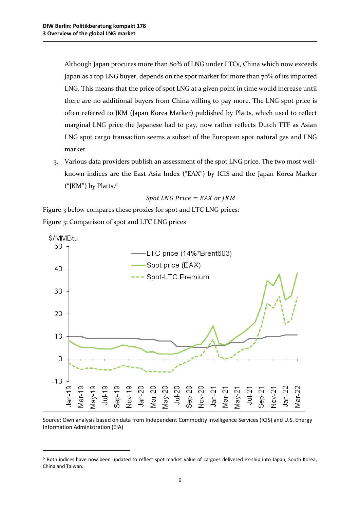l

Although Japan procures more than 80% of LNG under LTCs, China which now exceeds Japan as a top LNG buyer, depends on the spot market for more than 70% of its imported LNG. This means that the price of spot LNG at a given point in time would increase until there are no additional buyers from China willing to pay more. The LNG spot price is often referred to JKM (Japan Korea Marker) published by Platts, which used to reflect marginal LNG price the Japanese had to pay, now rather reflects Dutch TTF as Asian LNG spot cargo transaction seems a subset of the European spot natural gas and LNG market.

3. Various data providers publish an assessment of the spot LNG price. The two most wellknown indices are the East Asia Index ("EAX") by ICIS and the Japan Korea Marker ("JKM") by Platts.[6](#page-10-0)

$$
Spot\ LNG\ Price= EAX\ or\ JKM
$$

Figure 3 below compares these proxies for spot and LTC LNG prices: Figure 3: Comparison of spot and LTC LNG prices



Source: Own analysis based on data from Independent Commodity Intelligence Services (ICIS) and U.S. Energy Information Administration (EIA)

<span id="page-10-0"></span><sup>6</sup> Both indices have now been updated to reflect spot market value of cargoes delivered ex-ship into Japan, South Korea, China and Taiwan.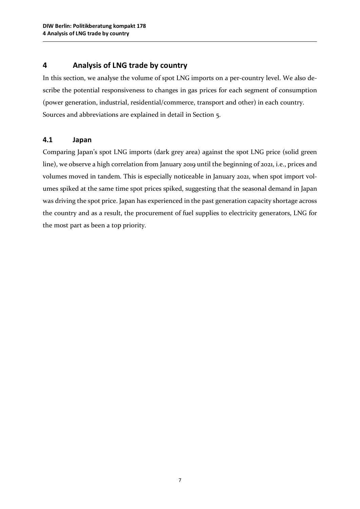# **4 Analysis of LNG trade by country**

In this section, we analyse the volume of spot LNG imports on a per-country level. We also describe the potential responsiveness to changes in gas prices for each segment of consumption (power generation, industrial, residential/commerce, transport and other) in each country. Sources and abbreviations are explained in detail in Section 5.

## **4.1 Japan**

Comparing Japan's spot LNG imports (dark grey area) against the spot LNG price (solid green line), we observe a high correlation from January 2019 until the beginning of 2021, i.e., prices and volumes moved in tandem. This is especially noticeable in January 2021, when spot import volumes spiked at the same time spot prices spiked, suggesting that the seasonal demand in Japan was driving the spot price. Japan has experienced in the past generation capacity shortage across the country and as a result, the procurement of fuel supplies to electricity generators, LNG for the most part as been a top priority.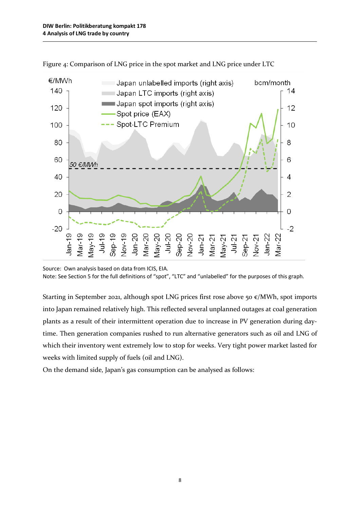

Figure 4: Comparison of LNG price in the spot market and LNG price under LTC

Starting in September 2021, although spot LNG prices first rose above 50  $\varepsilon$ /MWh, spot imports into Japan remained relatively high. This reflected several unplanned outages at coal generation plants as a result of their intermittent operation due to increase in PV generation during daytime. Then generation companies rushed to run alternative generators such as oil and LNG of which their inventory went extremely low to stop for weeks. Very tight power market lasted for weeks with limited supply of fuels (oil and LNG).

On the demand side, Japan's gas consumption can be analysed as follows:

Source: Own analysis based on data from ICIS, EIA. Note: See Section 5 for the full definitions of "spot", "LTC" and "unlabelled" for the purposes of this graph.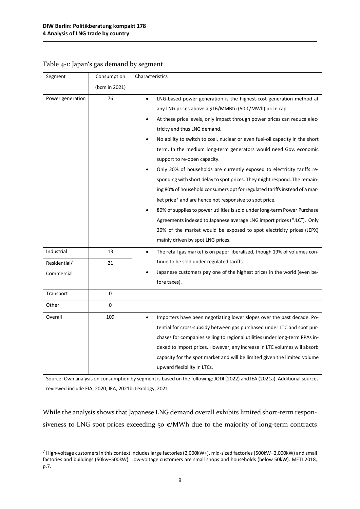$\overline{a}$ 

| Segment          | Consumption   | Characteristics                                                                                                                                                                                                                                                                                                                                                                                                                                                                                                                                                                                                                                                                                                                                                                                                                                                                                                                                                                                                              |
|------------------|---------------|------------------------------------------------------------------------------------------------------------------------------------------------------------------------------------------------------------------------------------------------------------------------------------------------------------------------------------------------------------------------------------------------------------------------------------------------------------------------------------------------------------------------------------------------------------------------------------------------------------------------------------------------------------------------------------------------------------------------------------------------------------------------------------------------------------------------------------------------------------------------------------------------------------------------------------------------------------------------------------------------------------------------------|
|                  | (bcm in 2021) |                                                                                                                                                                                                                                                                                                                                                                                                                                                                                                                                                                                                                                                                                                                                                                                                                                                                                                                                                                                                                              |
| Power generation | 76            | LNG-based power generation is the highest-cost generation method at<br>$\bullet$<br>any LNG prices above a \$16/MMBtu (50 €/MWh) price cap.<br>At these price levels, only impact through power prices can reduce elec-<br>tricity and thus LNG demand.<br>No ability to switch to coal, nuclear or even fuel-oil capacity in the short<br>term. In the medium long-term generators would need Gov. economic<br>support to re-open capacity.<br>Only 20% of households are currently exposed to electricity tariffs re-<br>sponding with short delay to spot prices. They might respond. The remain-<br>ing 80% of household consumers opt for regulated tariffs instead of a mar-<br>ket price <sup>7</sup> and are hence not responsive to spot price.<br>80% of supplies to power utilities is sold under long-term Power Purchase<br>Agreements indexed to Japanese average LNG import prices ("JLC"). Only<br>20% of the market would be exposed to spot electricity prices (JEPX)<br>mainly driven by spot LNG prices. |
| Industrial       | 13            | The retail gas market is on paper liberalised, though 19% of volumes con-                                                                                                                                                                                                                                                                                                                                                                                                                                                                                                                                                                                                                                                                                                                                                                                                                                                                                                                                                    |
| Residential/     | 21            | tinue to be sold under regulated tariffs.                                                                                                                                                                                                                                                                                                                                                                                                                                                                                                                                                                                                                                                                                                                                                                                                                                                                                                                                                                                    |
| Commercial       |               | Japanese customers pay one of the highest prices in the world (even be-<br>fore taxes).                                                                                                                                                                                                                                                                                                                                                                                                                                                                                                                                                                                                                                                                                                                                                                                                                                                                                                                                      |
| Transport        | 0             |                                                                                                                                                                                                                                                                                                                                                                                                                                                                                                                                                                                                                                                                                                                                                                                                                                                                                                                                                                                                                              |
| Other            | 0             |                                                                                                                                                                                                                                                                                                                                                                                                                                                                                                                                                                                                                                                                                                                                                                                                                                                                                                                                                                                                                              |
| Overall          | 109           | Importers have been negotiating lower slopes over the past decade. Po-<br>$\bullet$<br>tential for cross-subsidy between gas purchased under LTC and spot pur-<br>chases for companies selling to regional utilities under long-term PPAs in-<br>dexed to import prices. However, any increase in LTC volumes will absorb<br>capacity for the spot market and will be limited given the limited volume<br>upward flexibility in LTCs.                                                                                                                                                                                                                                                                                                                                                                                                                                                                                                                                                                                        |

#### Table 4-1: Japan's gas demand by segment

Source: Own analysis on consumption by segment is based on the following: JODI (2022) and IEA (2021a). Additional sources reviewed include EIA, 2020; IEA, 2021b; Lexology, 2021

While the analysis shows that Japanese LNG demand overall exhibits limited short-term responsiveness to LNG spot prices exceeding 50  $\varepsilon$ /MWh due to the majority of long-term contracts

<span id="page-13-0"></span><sup>7</sup> High-voltage customers in this context includes large factories (2,000kW+), mid-sized factories (500kW–2,000kW) and small factories and buildings (50kw–500kW). Low-voltage customers are small shops and households (below 50kW). METI 2018, p.7.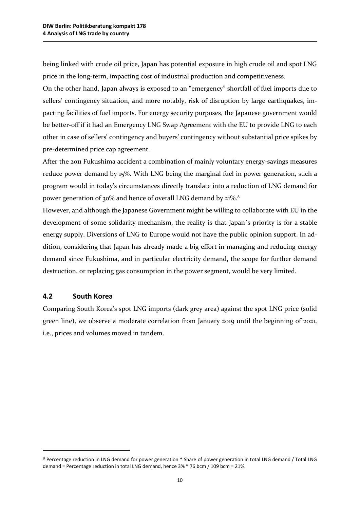being linked with crude oil price, Japan has potential exposure in high crude oil and spot LNG price in the long-term, impacting cost of industrial production and competitiveness.

On the other hand, Japan always is exposed to an "emergency" shortfall of fuel imports due to sellers' contingency situation, and more notably, risk of disruption by large earthquakes, impacting facilities of fuel imports. For energy security purposes, the Japanese government would be better-off if it had an Emergency LNG Swap Agreement with the EU to provide LNG to each other in case of sellers' contingency and buyers' contingency without substantial price spikes by pre-determined price cap agreement.

After the 2011 Fukushima accident a combination of mainly voluntary energy-savings measures reduce power demand by 15%. With LNG being the marginal fuel in power generation, such a program would in today's circumstances directly translate into a reduction of LNG demand for power generation of 30% and hence of overall LNG demand by 21%.[8](#page-14-0)

However, and although the Japanese Government might be willing to collaborate with EU in the development of some solidarity mechanism, the reality is that Japan´s priority is for a stable energy supply. Diversions of LNG to Europe would not have the public opinion support. In addition, considering that Japan has already made a big effort in managing and reducing energy demand since Fukushima, and in particular electricity demand, the scope for further demand destruction, or replacing gas consumption in the power segment, would be very limited.

## **4.2 South Korea**

l

Comparing South Korea's spot LNG imports (dark grey area) against the spot LNG price (solid green line), we observe a moderate correlation from January 2019 until the beginning of 2021, i.e., prices and volumes moved in tandem.

<span id="page-14-0"></span><sup>8</sup> Percentage reduction in LNG demand for power generation \* Share of power generation in total LNG demand / Total LNG demand = Percentage reduction in total LNG demand, hence 3% \* 76 bcm / 109 bcm = 21%.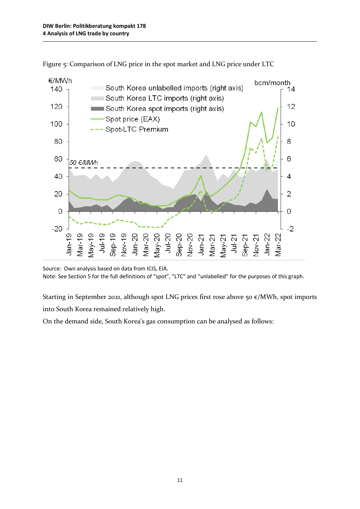

Figure 5: Comparison of LNG price in the spot market and LNG price under LTC

Starting in September 2021, although spot LNG prices first rose above 50  $\varepsilon$ /MWh, spot imports into South Korea remained relatively high.

On the demand side, South Korea's gas consumption can be analysed as follows:

Source: Own analysis based on data from ICIS, EIA. Note: See Section 5 for the full definitions of "spot", "LTC" and "unlabelled" for the purposes of this graph.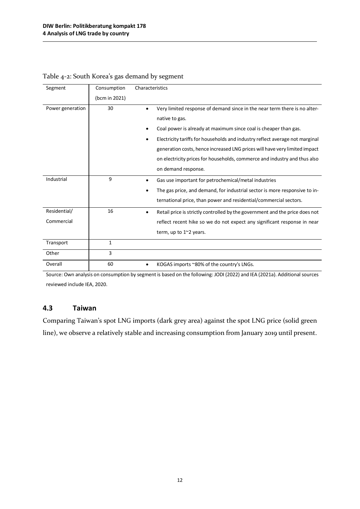| Segment          | Consumption   | Characteristics                                                                   |
|------------------|---------------|-----------------------------------------------------------------------------------|
|                  | (bcm in 2021) |                                                                                   |
| Power generation | 30            | Very limited response of demand since in the near term there is no alter-         |
|                  |               | native to gas.                                                                    |
|                  |               | Coal power is already at maximum since coal is cheaper than gas.                  |
|                  |               | Electricity tariffs for households and industry reflect average not marginal      |
|                  |               | generation costs, hence increased LNG prices will have very limited impact        |
|                  |               | on electricity prices for households, commerce and industry and thus also         |
|                  |               | on demand response.                                                               |
| Industrial       | 9             | Gas use important for petrochemical/metal industries                              |
|                  |               | The gas price, and demand, for industrial sector is more responsive to in-        |
|                  |               | ternational price, than power and residential/commercial sectors.                 |
| Residential/     | 16            | Retail price is strictly controlled by the government and the price does not<br>٠ |
| Commercial       |               | reflect recent hike so we do not expect any significant response in near          |
|                  |               | term, up to $1^{\sim}2$ years.                                                    |
| Transport        | 1             |                                                                                   |
| Other            | 3             |                                                                                   |
| Overall          | 60            | KOGAS imports ~80% of the country's LNGs.                                         |

### Table 4-2: South Korea's gas demand by segment

Source: Own analysis on consumption by segment is based on the following: JODI (2022) and IEA (2021a). Additional sources reviewed include IEA, 2020.

## **4.3 Taiwan**

Comparing Taiwan's spot LNG imports (dark grey area) against the spot LNG price (solid green line), we observe a relatively stable and increasing consumption from January 2019 until present.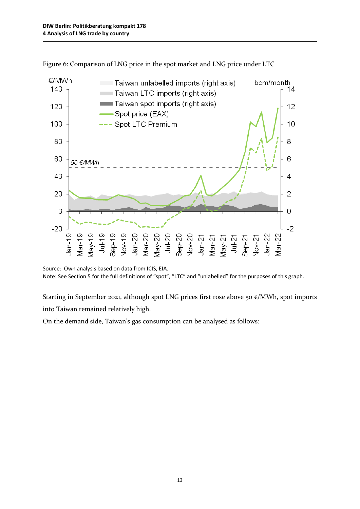

Figure 6: Comparison of LNG price in the spot market and LNG price under LTC

Starting in September 2021, although spot LNG prices first rose above 50  $\varepsilon$ /MWh, spot imports into Taiwan remained relatively high.

On the demand side, Taiwan's gas consumption can be analysed as follows:

Source: Own analysis based on data from ICIS, EIA. Note: See Section 5 for the full definitions of "spot", "LTC" and "unlabelled" for the purposes of this graph.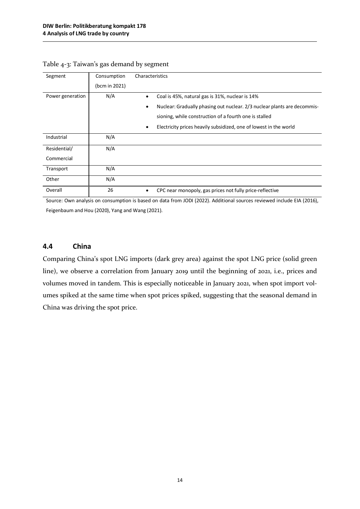| Segment          | Consumption   | Characteristics                                                               |
|------------------|---------------|-------------------------------------------------------------------------------|
|                  | (bcm in 2021) |                                                                               |
| Power generation | N/A           | Coal is 45%, natural gas is 31%, nuclear is 14%                               |
|                  |               | Nuclear: Gradually phasing out nuclear. 2/3 nuclear plants are decommis-<br>٠ |
|                  |               | sioning, while construction of a fourth one is stalled                        |
|                  |               | Electricity prices heavily subsidized, one of lowest in the world<br>٠        |
| Industrial       | N/A           |                                                                               |
| Residential/     | N/A           |                                                                               |
| Commercial       |               |                                                                               |
| Transport        | N/A           |                                                                               |
| Other            | N/A           |                                                                               |
| Overall          | 26            | CPC near monopoly, gas prices not fully price-reflective                      |

| Table 4-3: Taiwan's gas demand by segment |  |  |  |
|-------------------------------------------|--|--|--|
|                                           |  |  |  |

Source: Own analysis on consumption is based on data from JODI (2022). Additional sources reviewed include EIA (2016), Feigenbaum and Hou (2020), Yang and Wang (2021).

#### **4.4 China**

Comparing China's spot LNG imports (dark grey area) against the spot LNG price (solid green line), we observe a correlation from January 2019 until the beginning of 2021, i.e., prices and volumes moved in tandem. This is especially noticeable in January 2021, when spot import volumes spiked at the same time when spot prices spiked, suggesting that the seasonal demand in China was driving the spot price.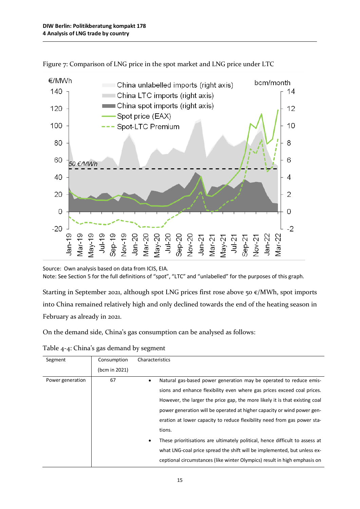

Figure 7: Comparison of LNG price in the spot market and LNG price under LTC

Starting in September 2021, although spot LNG prices first rose above 50  $\varepsilon$ /MWh, spot imports into China remained relatively high and only declined towards the end of the heating season in February as already in 2021.

On the demand side, China's gas consumption can be analysed as follows:

| Segment          | Consumption   | Characteristics                                                                           |
|------------------|---------------|-------------------------------------------------------------------------------------------|
|                  | (bcm in 2021) |                                                                                           |
| Power generation | 67            | Natural gas-based power generation may be operated to reduce emis-<br>٠                   |
|                  |               | sions and enhance flexibility even where gas prices exceed coal prices.                   |
|                  |               | However, the larger the price gap, the more likely it is that existing coal               |
|                  |               | power generation will be operated at higher capacity or wind power gen-                   |
|                  |               | eration at lower capacity to reduce flexibility need from gas power sta-                  |
|                  |               | tions.                                                                                    |
|                  |               | These prioritisations are ultimately political, hence difficult to assess at<br>$\bullet$ |
|                  |               | what LNG-coal price spread the shift will be implemented, but unless ex-                  |
|                  |               | ceptional circumstances (like winter Olympics) result in high emphasis on                 |

Table 4-4: China's gas demand by segment

Source: Own analysis based on data from ICIS, EIA. Note: See Section 5 for the full definitions of "spot", "LTC" and "unlabelled" for the purposes of this graph.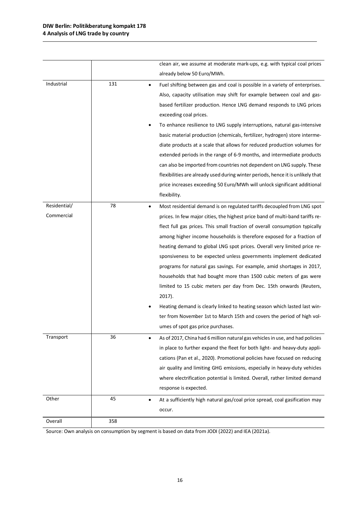|              |     | clean air, we assume at moderate mark-ups, e.g. with typical coal prices                 |
|--------------|-----|------------------------------------------------------------------------------------------|
|              |     | already below 50 Euro/MWh.                                                               |
| Industrial   | 131 | Fuel shifting between gas and coal is possible in a variety of enterprises.<br>$\bullet$ |
|              |     | Also, capacity utilisation may shift for example between coal and gas-                   |
|              |     | based fertilizer production. Hence LNG demand responds to LNG prices                     |
|              |     | exceeding coal prices.                                                                   |
|              |     | To enhance resilience to LNG supply interruptions, natural gas-intensive                 |
|              |     | basic material production (chemicals, fertilizer, hydrogen) store interme-               |
|              |     | diate products at a scale that allows for reduced production volumes for                 |
|              |     | extended periods in the range of 6-9 months, and intermediate products                   |
|              |     | can also be imported from countries not dependent on LNG supply. These                   |
|              |     | flexibilities are already used during winter periods, hence it is unlikely that          |
|              |     | price increases exceeding 50 Euro/MWh will unlock significant additional                 |
|              |     | flexibility.                                                                             |
| Residential/ | 78  | Most residential demand is on regulated tariffs decoupled from LNG spot<br>$\bullet$     |
| Commercial   |     | prices. In few major cities, the highest price band of multi-band tariffs re-            |
|              |     | flect full gas prices. This small fraction of overall consumption typically              |
|              |     | among higher income households is therefore exposed for a fraction of                    |
|              |     | heating demand to global LNG spot prices. Overall very limited price re-                 |
|              |     | sponsiveness to be expected unless governments implement dedicated                       |
|              |     | programs for natural gas savings. For example, amid shortages in 2017,                   |
|              |     | households that had bought more than 1500 cubic meters of gas were                       |
|              |     | limited to 15 cubic meters per day from Dec. 15th onwards (Reuters,                      |
|              |     | 2017).                                                                                   |
|              |     | Heating demand is clearly linked to heating season which lasted last win-                |
|              |     | ter from November 1st to March 15th and covers the period of high vol-                   |
|              |     | umes of spot gas price purchases.                                                        |
| Transport    | 36  | As of 2017, China had 6 million natural gas vehicles in use, and had policies            |
|              |     | in place to further expand the fleet for both light- and heavy-duty appli-               |
|              |     | cations (Pan et al., 2020). Promotional policies have focused on reducing                |
|              |     | air quality and limiting GHG emissions, especially in heavy-duty vehicles                |
|              |     | where electrification potential is limited. Overall, rather limited demand               |
|              |     | response is expected.                                                                    |
| Other        | 45  | At a sufficiently high natural gas/coal price spread, coal gasification may<br>٠         |
|              |     | occur.                                                                                   |
| Overall      | 358 |                                                                                          |

Source: Own analysis on consumption by segment is based on data from JODI (2022) and IEA (2021a).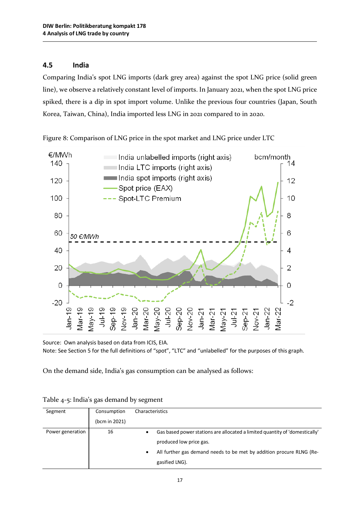# **4.5 India**

Comparing India's spot LNG imports (dark grey area) against the spot LNG price (solid green line), we observe a relatively constant level of imports. In January 2021, when the spot LNG price spiked, there is a dip in spot import volume. Unlike the previous four countries (Japan, South Korea, Taiwan, China), India imported less LNG in 2021 compared to in 2020.



Figure 8: Comparison of LNG price in the spot market and LNG price under LTC

Source: Own analysis based on data from ICIS, EIA. Note: See Section 5 for the full definitions of "spot", "LTC" and "unlabelled" for the purposes of this graph.

On the demand side, India's gas consumption can be analysed as follows:

| Segment          | Consumption   | Characteristics                                                                  |  |  |
|------------------|---------------|----------------------------------------------------------------------------------|--|--|
|                  | (bcm in 2021) |                                                                                  |  |  |
| Power generation | 16            | Gas based power stations are allocated a limited quantity of 'domestically'<br>٠ |  |  |
|                  |               | produced low price gas.                                                          |  |  |
|                  |               | All further gas demand needs to be met by addition procure RLNG (Re-<br>٠        |  |  |
|                  |               | gasified LNG).                                                                   |  |  |

Table 4-5: India's gas demand by segment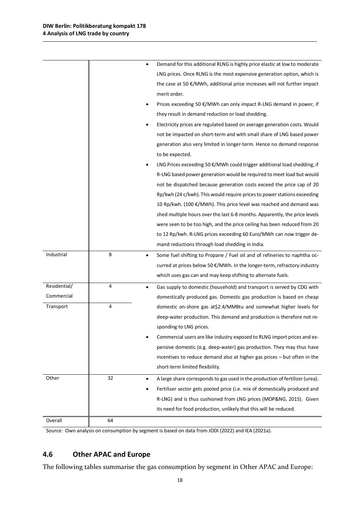|              |    | Demand for this additional RLNG is highly price elastic at low to moderate<br>٠    |
|--------------|----|------------------------------------------------------------------------------------|
|              |    | LNG prices. Once RLNG is the most expensive generation option, which is            |
|              |    | the case at 50 $\epsilon$ /MWh, additional price increases will not further impact |
|              |    | merit order.                                                                       |
|              |    | Prices exceeding 50 €/MWh can only impact R-LNG demand in power, if<br>٠           |
|              |    | they result in demand reduction or load shedding.                                  |
|              |    | Electricity prices are regulated based on average generation costs. Would          |
|              |    | not be impacted on short-term and with small share of LNG based power              |
|              |    | generation also very limited in longer-term. Hence no demand response              |
|              |    | to be expected.                                                                    |
|              |    | LNG Prices exceeding 50 €/MWh could trigger additional load shedding, if           |
|              |    | R-LNG based power generation would be required to meet load but would              |
|              |    | not be dispatched because generation costs exceed the price cap of 20              |
|              |    | Rp/kwh (24 c/kwh). This would require prices to power stations exceeding           |
|              |    | 10 Rp/kwh. (100 €/MWh). This price level was reached and demand was                |
|              |    | shed multiple hours over the last 6-8 months. Apparently, the price levels         |
|              |    | were seen to be too high, and the price ceiling has been reduced from 20           |
|              |    | to 12 Rp/kwh. R-LNG prices exceeding 60 Euro/MWh can now trigger de-               |
|              |    | mand reductions through load shedding in India.                                    |
| Industrial   | 8  | Some fuel shifting to Propane / Fuel oil and of refineries to naphtha oc-<br>٠     |
|              |    | curred at prices below 50 €/MWh. In the longer-term, refractory industry           |
|              |    | which uses gas can and may keep shifting to alternate fuels.                       |
| Residential/ | 4  | Gas supply to domestic (household) and transport is served by CDG with<br>٠        |
| Commercial   |    | domestically produced gas. Domestic gas production is based on cheap               |
| Transport    | 4  | domestic on-shore gas at\$2.4/MMBtu and somewhat higher levels for                 |
|              |    | deep-water production. This demand and production is therefore not re-             |
|              |    | sponding to LNG prices.                                                            |
|              |    | Commercial users are like industry exposed to RLNG import prices and ex-           |
|              |    | pensive domestic (e.g. deep-water) gas production. They may thus have              |
|              |    | incentives to reduce demand also at higher gas prices $-$ but often in the         |
|              |    | short-term limited flexibility.                                                    |
| Other        | 32 | A large share corresponds to gas used in the production of fertilizer (urea).<br>٠ |
|              |    | Fertiliser sector gets pooled price (i.e. mix of domestically produced and         |
|              |    | R-LNG) and is thus cushioned from LNG prices (MOP&NG, 2015). Given                 |
|              |    | its need for food production, unlikely that this will be reduced.                  |
| Overall      | 64 |                                                                                    |

Source: Own analysis on consumption by segment is based on data from JODI (2022) and IEA (2021a).

# **4.6 Other APAC and Europe**

The following tables summarise the gas consumption by segment in Other APAC and Europe: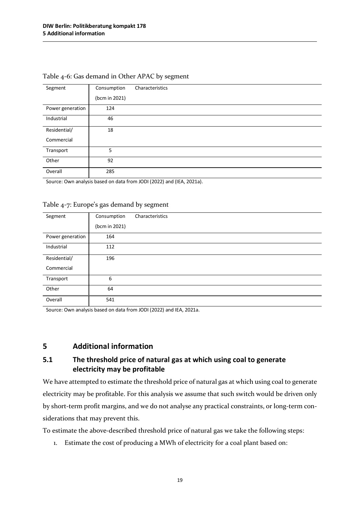|                  | Consumption   | Characteristics |
|------------------|---------------|-----------------|
| Segment          |               |                 |
|                  | (bcm in 2021) |                 |
| Power generation | 124           |                 |
| Industrial       | 46            |                 |
| Residential/     | 18            |                 |
| Commercial       |               |                 |
| Transport        | 5             |                 |
| Other            | 92            |                 |
| Overall          | 285           |                 |

#### Table 4-6: Gas demand in Other APAC by segment

Source: Own analysis based on data from JODI (2022) and (IEA, 2021a).

#### Table 4-7: Europe's gas demand by segment

| Segment          | Consumption   | Characteristics |
|------------------|---------------|-----------------|
|                  | (bcm in 2021) |                 |
| Power generation | 164           |                 |
| Industrial       | 112           |                 |
| Residential/     | 196           |                 |
| Commercial       |               |                 |
| Transport        | 6             |                 |
| Other            | 64            |                 |
| Overall          | 541           |                 |

Source: Own analysis based on data from JODI (2022) and IEA, 2021a.

### **5 Additional information**

# **5.1 The threshold price of natural gas at which using coal to generate electricity may be profitable**

We have attempted to estimate the threshold price of natural gas at which using coal to generate electricity may be profitable. For this analysis we assume that such switch would be driven only by short-term profit margins, and we do not analyse any practical constraints, or long-term considerations that may prevent this.

To estimate the above-described threshold price of natural gas we take the following steps:

1. Estimate the cost of producing a MWh of electricity for a coal plant based on: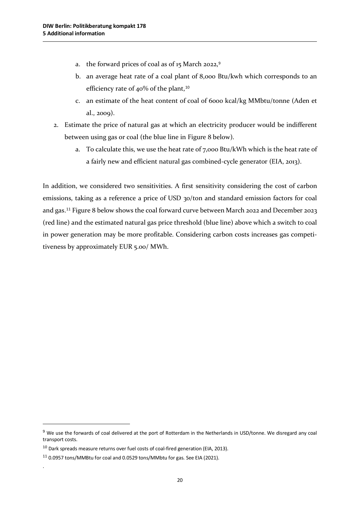- a. the forward prices of coal as of  $15$  March 2022,<sup>[9](#page-24-0)</sup>
- b. an average heat rate of a coal plant of 8,000 Btu/kwh which corresponds to an efficiency rate of 40% of the plant,<sup>[10](#page-24-1)</sup>
- c. an estimate of the heat content of coal of 6000 kcal/kg MMbtu/tonne (Aden et al., 2009).
- 2. Estimate the price of natural gas at which an electricity producer would be indifferent between using gas or coal (the blue line in Figure 8 below).
	- a. To calculate this, we use the heat rate of 7,000 Btu/kWh which is the heat rate of a fairly new and efficient natural gas combined-cycle generator (EIA, 2013).

In addition, we considered two sensitivities. A first sensitivity considering the cost of carbon emissions, taking as a reference a price of USD 30/ton and standard emission factors for coal and gas.[11](#page-24-2) Figure 8 below shows the coal forward curve between March 2022 and December 2023 (red line) and the estimated natural gas price threshold (blue line) above which a switch to coal in power generation may be more profitable. Considering carbon costs increases gas competitiveness by approximately EUR 5.00/ MWh.

l

.

<span id="page-24-0"></span><sup>9</sup> We use the forwards of coal delivered at the port of Rotterdam in the Netherlands in USD/tonne. We disregard any coal transport costs.

<span id="page-24-1"></span><sup>&</sup>lt;sup>10</sup> Dark spreads measure returns over fuel costs of coal-fired generation (EIA, 2013).

<span id="page-24-2"></span><sup>11</sup> 0.0957 tons/MMBtu for coal and 0.0529 tons/MMbtu for gas. See EIA (2021).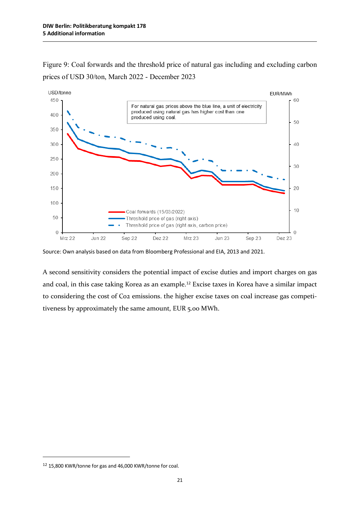Figure 9: Coal forwards and the threshold price of natural gas including and excluding carbon prices of USD 30/ton, March 2022 - December 2023



Source: Own analysis based on data from Bloomberg Professional and EIA, 2013 and 2021.

A second sensitivity considers the potential impact of excise duties and import charges on gas and coal, in this case taking Korea as an example.[12](#page-25-0) Excise taxes in Korea have a similar impact to considering the cost of Co2 emissions. the higher excise taxes on coal increase gas competitiveness by approximately the same amount, EUR 5.00 MWh.

 $\overline{a}$ 

<span id="page-25-0"></span><sup>12</sup> 15,800 KWR/tonne for gas and 46,000 KWR/tonne for coal.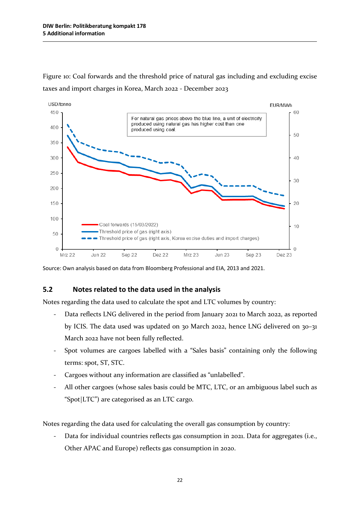

Figure 10: Coal forwards and the threshold price of natural gas including and excluding excise taxes and import charges in Korea, March 2022 - December 2023

Source: Own analysis based on data from Bloomberg Professional and EIA, 2013 and 2021.

### **5.2 Notes related to the data used in the analysis**

Notes regarding the data used to calculate the spot and LTC volumes by country:

- Data reflects LNG delivered in the period from January 2021 to March 2022, as reported by ICIS. The data used was updated on 30 March 2022, hence LNG delivered on 30–31 March 2022 have not been fully reflected.
- Spot volumes are cargoes labelled with a "Sales basis" containing only the following terms: spot, ST, STC.
- Cargoes without any information are classified as "unlabelled".
- All other cargoes (whose sales basis could be MTC, LTC, or an ambiguous label such as "Spot|LTC") are categorised as an LTC cargo.

Notes regarding the data used for calculating the overall gas consumption by country:

- Data for individual countries reflects gas consumption in 2021. Data for aggregates (i.e., Other APAC and Europe) reflects gas consumption in 2020.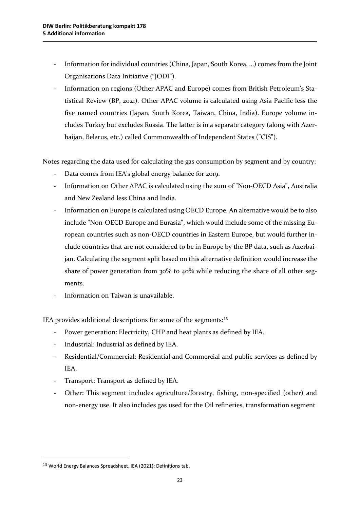- Information for individual countries (China, Japan, South Korea, …) comes from the Joint Organisations Data Initiative ("JODI").
- Information on regions (Other APAC and Europe) comes from British Petroleum's Statistical Review (BP, 2021). Other APAC volume is calculated using Asia Pacific less the five named countries (Japan, South Korea, Taiwan, China, India). Europe volume includes Turkey but excludes Russia. The latter is in a separate category (along with Azerbaijan, Belarus, etc.) called Commonwealth of Independent States ("CIS").

Notes regarding the data used for calculating the gas consumption by segment and by country:

- Data comes from IEA's global energy balance for 2019.
- Information on Other APAC is calculated using the sum of "Non-OECD Asia", Australia and New Zealand less China and India.
- Information on Europe is calculated using OECD Europe. An alternative would be to also include "Non-OECD Europe and Eurasia", which would include some of the missing European countries such as non-OECD countries in Eastern Europe, but would further include countries that are not considered to be in Europe by the BP data, such as Azerbaijan. Calculating the segment split based on this alternative definition would increase the share of power generation from 30% to 40% while reducing the share of all other segments.
- Information on Taiwan is unavailable.

IEA provides additional descriptions for some of the segments:[13](#page-27-0)

- Power generation: Electricity, CHP and heat plants as defined by IEA.
- Industrial: Industrial as defined by IEA.
- Residential/Commercial: Residential and Commercial and public services as defined by IEA.
- Transport: Transport as defined by IEA.
- Other: This segment includes agriculture/forestry, fishing, non-specified (other) and non-energy use. It also includes gas used for the Oil refineries, transformation segment

 $\overline{a}$ 

<span id="page-27-0"></span><sup>13</sup> World Energy Balances Spreadsheet, IEA (2021): Definitions tab.